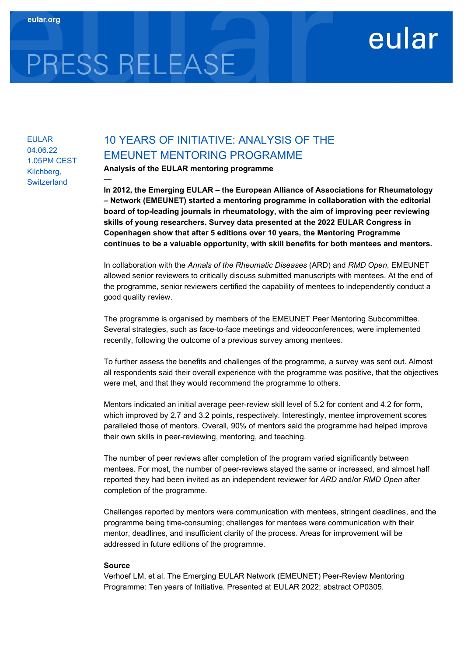# PRESS RELEASE

—

# EULAR 04.06.22 1.05PM CEST Kilchberg, **Switzerland**

# 10 YEARS OF INITIATIVE: ANALYSIS OF THE EMEUNET MENTORING PROGRAMME

Analysis of the EULAR mentoring programme

In 2012, the Emerging EULAR – the European Alliance of Associations for Rheumatology – Network (EMEUNET) started a mentoring programme in collaboration with the editorial board of top-leading journals in rheumatology, with the aim of improving peer reviewing skills of young researchers. Survey data presented at the 2022 EULAR Congress in Copenhagen show that after 5 editions over 10 years, the Mentoring Programme continues to be a valuable opportunity, with skill benefits for both mentees and mentors.

eular

In collaboration with the Annals of the Rheumatic Diseases (ARD) and RMD Open, EMEUNET allowed senior reviewers to critically discuss submitted manuscripts with mentees. At the end of the programme, senior reviewers certified the capability of mentees to independently conduct a good quality review.

The programme is organised by members of the EMEUNET Peer Mentoring Subcommittee. Several strategies, such as face-to-face meetings and videoconferences, were implemented recently, following the outcome of a previous survey among mentees.

To further assess the benefits and challenges of the programme, a survey was sent out. Almost all respondents said their overall experience with the programme was positive, that the objectives were met, and that they would recommend the programme to others.

Mentors indicated an initial average peer-review skill level of 5.2 for content and 4.2 for form, which improved by 2.7 and 3.2 points, respectively. Interestingly, mentee improvement scores paralleled those of mentors. Overall, 90% of mentors said the programme had helped improve their own skills in peer-reviewing, mentoring, and teaching.

The number of peer reviews after completion of the program varied significantly between mentees. For most, the number of peer-reviews stayed the same or increased, and almost half reported they had been invited as an independent reviewer for ARD and/or RMD Open after completion of the programme.

Challenges reported by mentors were communication with mentees, stringent deadlines, and the programme being time-consuming; challenges for mentees were communication with their mentor, deadlines, and insufficient clarity of the process. Areas for improvement will be addressed in future editions of the programme.

## Source

Verhoef LM, et al. The Emerging EULAR Network (EMEUNET) Peer-Review Mentoring Programme: Ten years of Initiative. Presented at EULAR 2022; abstract OP0305.